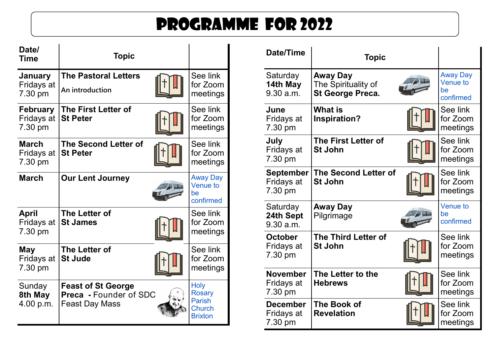## Programme for 2022

| Date/<br><b>Time</b>                     | <b>Topic</b>                                                                        |                                                                                  |
|------------------------------------------|-------------------------------------------------------------------------------------|----------------------------------------------------------------------------------|
| January<br>Fridays at<br>7.30 pm         | <b>The Pastoral Letters</b><br>An introduction                                      | See link<br>for Zoom<br>meetings                                                 |
| <b>February</b><br>Fridays at<br>7.30 pm | <b>The First Letter of</b><br><b>St Peter</b>                                       | See link<br>for Zoom<br>meetings                                                 |
| <b>March</b><br>Fridays at<br>7.30 pm    | <b>The Second Letter of</b><br><b>St Peter</b>                                      | See link<br>for Zoom<br>meetings                                                 |
| <b>March</b>                             | <b>Our Lent Journey</b>                                                             | <b>Away Day</b><br><b>Venue to</b><br>be<br>confirmed                            |
| <b>April</b><br>Fridays at<br>7.30 pm    | The Letter of<br><b>St James</b>                                                    | See link<br>for Zoom<br>meetings                                                 |
| May<br>Fridays at<br>7.30 pm             | The Letter of<br><b>St Jude</b>                                                     | See link<br>for Zoom<br>meetings                                                 |
| Sunday<br>8th May<br>4.00 p.m.           | <b>Feast of St George</b><br><b>Preca</b> - Founder of SDC<br><b>Feast Day Mass</b> | <b>Holy</b><br><b>Rosary</b><br><b>Parish</b><br><b>Church</b><br><b>Brixton</b> |

| <b>Date/Time</b>                          | <b>Topic</b>                                               |                                                       |
|-------------------------------------------|------------------------------------------------------------|-------------------------------------------------------|
| Saturday<br>14th May<br>9.30 a.m.         | <b>Away Day</b><br>The Spirituality of<br>St George Preca. | <b>Away Day</b><br><b>Venue to</b><br>be<br>confirmed |
| June<br>Fridays at<br>7.30 pm             | <b>What is</b><br><b>Inspiration?</b>                      | See link<br>for Zoom<br>meetings                      |
| July<br>Fridays at<br>7.30 pm             | <b>The First Letter of</b><br><b>St John</b>               | See link<br>for Zoom<br>meetings                      |
| <b>September</b><br>Fridays at<br>7.30 pm | <b>The Second Letter of</b><br><b>St John</b>              | See link<br>for Zoom<br>meetings                      |
| Saturday<br>24th Sept<br>9.30 a.m.        | Away Day<br>Pilgrimage                                     | <b>Venue to</b><br>be<br>confirmed                    |
| <b>October</b><br>Fridays at<br>7.30 pm   | <b>The Third Letter of</b><br><b>St John</b>               | See link<br>for Zoom<br>meetings                      |
| <b>November</b><br>Fridays at<br>7.30 pm  | The Letter to the<br><b>Hebrews</b>                        | See link<br>for Zoom<br>meetings                      |
| <b>December</b><br>Fridays at<br>7.30 pm  | <b>The Book of</b><br><b>Revelation</b>                    | See link<br>for Zoom<br>meetings                      |